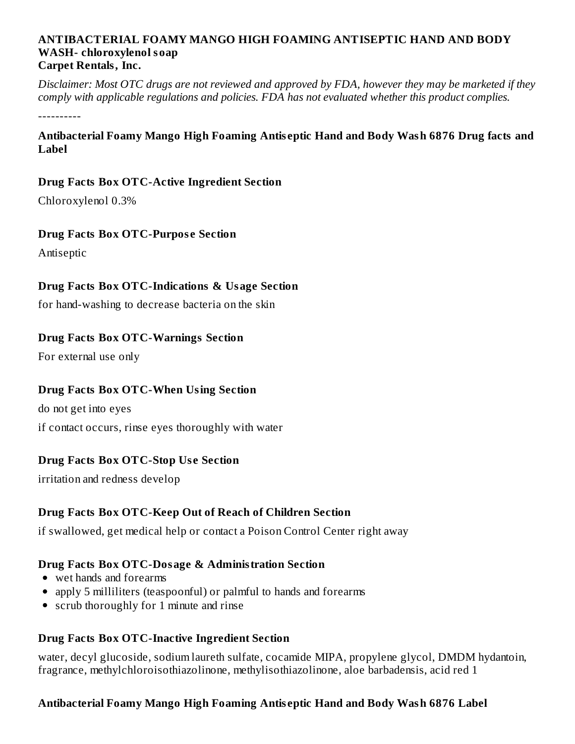#### **ANTIBACTERIAL FOAMY MANGO HIGH FOAMING ANTISEPTIC HAND AND BODY WASH- chloroxylenol soap Carpet Rentals, Inc.**

Disclaimer: Most OTC drugs are not reviewed and approved by FDA, however they may be marketed if they *comply with applicable regulations and policies. FDA has not evaluated whether this product complies.*

----------

**Antibacterial Foamy Mango High Foaming Antis eptic Hand and Body Wash 6876 Drug facts and Label**

#### **Drug Facts Box OTC-Active Ingredient Section**

Chloroxylenol 0.3%

#### **Drug Facts Box OTC-Purpos e Section**

Antiseptic

#### **Drug Facts Box OTC-Indications & Usage Section**

for hand-washing to decrease bacteria on the skin

#### **Drug Facts Box OTC-Warnings Section**

For external use only

# **Drug Facts Box OTC-When Using Section**

do not get into eyes

if contact occurs, rinse eyes thoroughly with water

# **Drug Facts Box OTC-Stop Us e Section**

irritation and redness develop

#### **Drug Facts Box OTC-Keep Out of Reach of Children Section**

if swallowed, get medical help or contact a Poison Control Center right away

# **Drug Facts Box OTC-Dosage & Administration Section**

- wet hands and forearms
- apply 5 milliliters (teaspoonful) or palmful to hands and forearms
- scrub thoroughly for 1 minute and rinse

#### **Drug Facts Box OTC-Inactive Ingredient Section**

water, decyl glucoside, sodium laureth sulfate, cocamide MIPA, propylene glycol, DMDM hydantoin, fragrance, methylchloroisothiazolinone, methylisothiazolinone, aloe barbadensis, acid red 1

#### **Antibacterial Foamy Mango High Foaming Antis eptic Hand and Body Wash 6876 Label**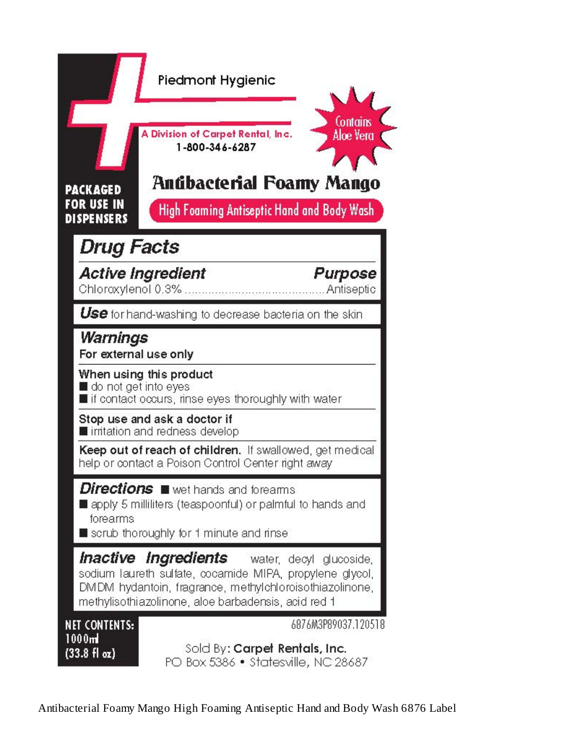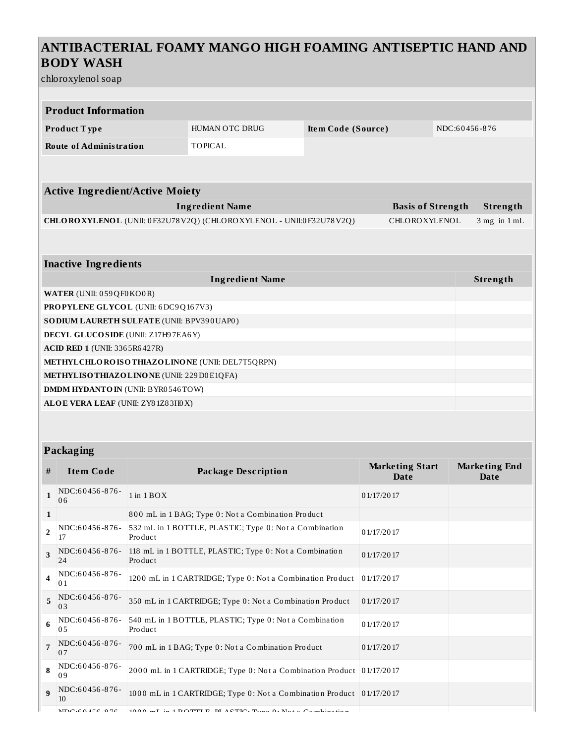# **ANTIBACTERIAL FOAMY MANGO HIGH FOAMING ANTISEPTIC HAND AND BODY WASH**

chloroxylenol soap

| <b>Product Information</b>           |                                                  |                  |                                                                    |                    |                                       |  |                                     |  |
|--------------------------------------|--------------------------------------------------|------------------|--------------------------------------------------------------------|--------------------|---------------------------------------|--|-------------------------------------|--|
|                                      | Product Type                                     |                  | <b>HUMAN OTC DRUG</b>                                              | Item Code (Source) |                                       |  | NDC:60456-876                       |  |
|                                      | <b>Route of Administration</b><br><b>TOPICAL</b> |                  |                                                                    |                    |                                       |  |                                     |  |
|                                      |                                                  |                  |                                                                    |                    |                                       |  |                                     |  |
|                                      | <b>Active Ingredient/Active Moiety</b>           |                  |                                                                    |                    |                                       |  |                                     |  |
|                                      |                                                  |                  |                                                                    |                    |                                       |  |                                     |  |
|                                      |                                                  |                  | <b>Ingredient Name</b>                                             |                    | <b>Basis of Strength</b>              |  | Strength                            |  |
|                                      |                                                  |                  | CHLOROXYLENOL (UNII: 0F32U78V2Q) (CHLOROXYLENOL - UNII:0F32U78V2Q) |                    | CHLOROXYLENOL                         |  | $3$ mg in $1$ mL                    |  |
|                                      |                                                  |                  |                                                                    |                    |                                       |  |                                     |  |
|                                      | <b>Inactive Ingredients</b>                      |                  |                                                                    |                    |                                       |  |                                     |  |
|                                      |                                                  |                  |                                                                    |                    |                                       |  |                                     |  |
| <b>Ingredient Name</b>               |                                                  |                  |                                                                    |                    |                                       |  | Strength                            |  |
|                                      | WATER (UNII: 059QF0KO0R)                         |                  |                                                                    |                    |                                       |  |                                     |  |
| PROPYLENE GLYCOL (UNII: 6DC9Q167V3)  |                                                  |                  |                                                                    |                    |                                       |  |                                     |  |
|                                      | SO DIUM LAURETH SULFATE (UNII: BPV390UAP0)       |                  |                                                                    |                    |                                       |  |                                     |  |
| DECYL GLUCOSIDE (UNII: Z17H97EA6Y)   |                                                  |                  |                                                                    |                    |                                       |  |                                     |  |
| <b>ACID RED 1 (UNII: 3365R6427R)</b> |                                                  |                  |                                                                    |                    |                                       |  |                                     |  |
|                                      |                                                  |                  | METHYL CHLORO ISOTHIAZOLINONE (UNII: DEL7T5QRPN)                   |                    |                                       |  |                                     |  |
|                                      | METHYLISO THIAZO LINO NE (UNII: 229 D0 E1QFA)    |                  |                                                                    |                    |                                       |  |                                     |  |
|                                      | <b>DMDM HYDANTO IN (UNII: BYR0546TOW)</b>        |                  |                                                                    |                    |                                       |  |                                     |  |
| ALOE VERA LEAF (UNII: ZY81Z83H0X)    |                                                  |                  |                                                                    |                    |                                       |  |                                     |  |
|                                      |                                                  |                  |                                                                    |                    |                                       |  |                                     |  |
|                                      |                                                  |                  |                                                                    |                    |                                       |  |                                     |  |
| Packaging                            |                                                  |                  |                                                                    |                    |                                       |  |                                     |  |
| #                                    | <b>Item Code</b>                                 |                  | <b>Package Description</b>                                         |                    | <b>Marketing Start</b><br><b>Date</b> |  | <b>Marketing End</b><br><b>Date</b> |  |
| $\mathbf{1}$                         | NDC:60456-876-<br>06                             | $1$ in $1$ $BOX$ |                                                                    |                    | 01/17/2017                            |  |                                     |  |

|                          | NDC:60456-876-<br>06 | $1$ in $1$ BOX                                                                             | 0 1/17/20 17 |
|--------------------------|----------------------|--------------------------------------------------------------------------------------------|--------------|
| 1                        |                      | 800 mL in 1 BAG; Type 0: Not a Combination Product                                         |              |
| $\overline{\phantom{a}}$ | NDC:60456-876-<br>17 | 532 mL in 1 BOTTLE, PLASTIC; Type 0: Not a Combination<br>Product                          | 01/17/2017   |
| 3                        | NDC:60456-876-<br>24 | 118 mL in 1 BOTTLE, PLASTIC; Type 0: Not a Combination<br>Product                          | 01/17/2017   |
|                          | NDC:60456-876-<br>01 | 1200 mL in 1 CARTRIDGE; Type 0: Not a Combination Product                                  | 0 1/17/20 17 |
| 5                        | NDC:60456-876-<br>03 | 350 mL in 1 CARTRIDGE; Type 0: Not a Combination Product                                   | 0 1/17/20 17 |
| 6                        | NDC:60456-876-<br>05 | 540 mL in 1 BOTTLE, PLASTIC; Type 0: Not a Combination<br>Product                          | 01/17/2017   |
|                          | NDC:60456-876-<br>07 | 700 mL in 1 BAG; Type 0: Not a Combination Product                                         | 01/17/2017   |
| 8                        | NDC:60456-876-<br>09 | 2000 mL in 1 CARTRIDGE; Type 0: Not a Combination Product 01/17/2017                       |              |
| $\mathbf{q}$             | NDC:60456-876-<br>Ю  | 1000 mL in 1 CARTRIDGE; Type 0: Not a Combination Product                                  | 01/17/2017   |
|                          | $MDC.CA$ $AC$ $0.7C$ | $1000 \ldots L$ is $1.00$ TTLE DIACTIC, T.m., $0.3L_{11}$ , $C_{21}$ , $L_{12}$ , $L_{21}$ |              |